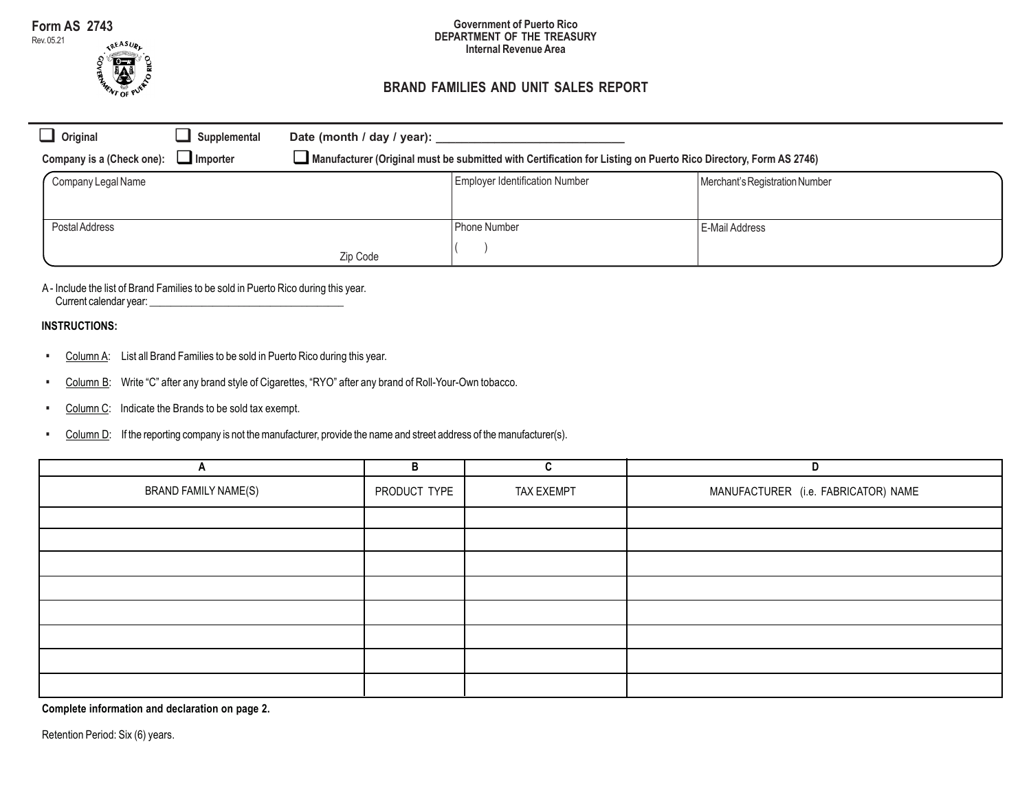Rev. 05.21



#### **Government of Puerto Rico DEPARTMENT OF THE TREASURY Internal Revenue Area**

# **BRAND FAMILIES AND UNIT SALES REPORT**

| $\Box$ Original           | Supplemental    | Date (month / day / year):                                                                                      |                                       |                                |  |
|---------------------------|-----------------|-----------------------------------------------------------------------------------------------------------------|---------------------------------------|--------------------------------|--|
| Company is a (Check one): | $\Box$ Importer | Manufacturer (Original must be submitted with Certification for Listing on Puerto Rico Directory, Form AS 2746) |                                       |                                |  |
| Company Legal Name        |                 |                                                                                                                 | <b>Employer Identification Number</b> | Merchant's Registration Number |  |
|                           |                 |                                                                                                                 |                                       |                                |  |
| Postal Address            |                 |                                                                                                                 | Phone Number                          | E-Mail Address                 |  |
|                           |                 | Zip Code                                                                                                        |                                       |                                |  |

A - Include the list of Brand Families to be sold in Puerto Rico during this year. Current calendar year: \_\_\_\_\_\_\_\_\_\_\_\_\_\_\_\_\_\_\_\_\_\_\_\_\_\_\_\_\_\_\_\_\_\_\_\_\_

## **INSTRUCTIONS:**

- **.** Column A: List all Brand Families to be sold in Puerto Rico during this year.
- **.** Column B: Write "C" after any brand style of Cigarettes, "RYO" after any brand of Roll-Your-Own tobacco.
- **.** Column C: Indicate the Brands to be sold tax exempt.
- **.** Column D: If the reporting company is not the manufacturer, provide the name and street address of the manufacturer(s).

| n                    | B            |            | D                                   |
|----------------------|--------------|------------|-------------------------------------|
| BRAND FAMILY NAME(S) | PRODUCT TYPE | TAX EXEMPT | MANUFACTURER (i.e. FABRICATOR) NAME |
|                      |              |            |                                     |
|                      |              |            |                                     |
|                      |              |            |                                     |
|                      |              |            |                                     |
|                      |              |            |                                     |
|                      |              |            |                                     |
|                      |              |            |                                     |
|                      |              |            |                                     |

**Complete information and declaration on page 2.**

Retention Period: Six (6) years.